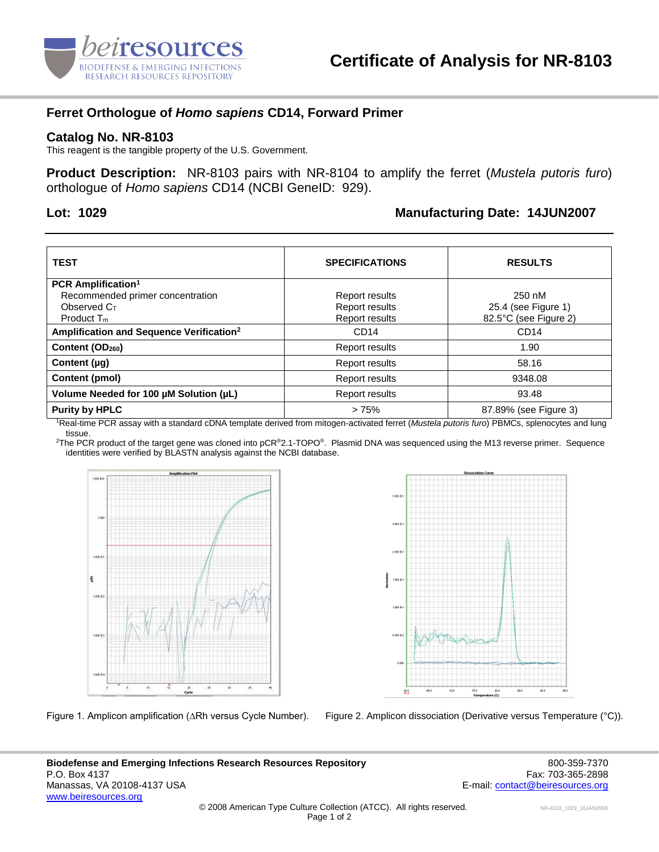

## **Ferret Orthologue of** *Homo sapiens* **CD14, Forward Primer**

## **Catalog No. NR-8103**

This reagent is the tangible property of the U.S. Government.

**Product Description:** NR-8103 pairs with NR-8104 to amplify the ferret (*Mustela putoris furo*) orthologue of *Homo sapiens* CD14 (NCBI GeneID: 929).

## **Lot: 1029 Manufacturing Date: 14JUN2007**

| <b>TEST</b>                                          | <b>SPECIFICATIONS</b> | <b>RESULTS</b>        |
|------------------------------------------------------|-----------------------|-----------------------|
| <b>PCR Amplification<sup>1</sup></b>                 |                       |                       |
| Recommended primer concentration                     | Report results        | 250 nM                |
| Observed C <sub>T</sub>                              | Report results        | 25.4 (see Figure 1)   |
| Product $T_m$                                        | Report results        | 82.5°C (see Figure 2) |
| Amplification and Sequence Verification <sup>2</sup> | CD <sub>14</sub>      | CD14                  |
| Content (OD <sub>260</sub> )                         | Report results        | 1.90                  |
| Content $(\mu q)$                                    | Report results        | 58.16                 |
| Content (pmol)                                       | Report results        | 9348.08               |
| Volume Needed for 100 µM Solution (µL)               | Report results        | 93.48                 |
| <b>Purity by HPLC</b>                                | >75%                  | 87.89% (see Figure 3) |

<sup>1</sup>Real-time PCR assay with a standard cDNA template derived from mitogen-activated ferret (*Mustela putoris furo*) PBMCs, splenocytes and lung tissue.

<sup>2</sup>The PCR product of the target gene was cloned into pCR<sup>®</sup>2.1-TOPO®. Plasmid DNA was sequenced using the M13 reverse primer. Sequence identities were verified by BLASTN analysis against the NCBI database.





Figure 1. Amplicon amplification (∆Rh versus Cycle Number). Figure 2. Amplicon dissociation (Derivative versus Temperature (°C)).